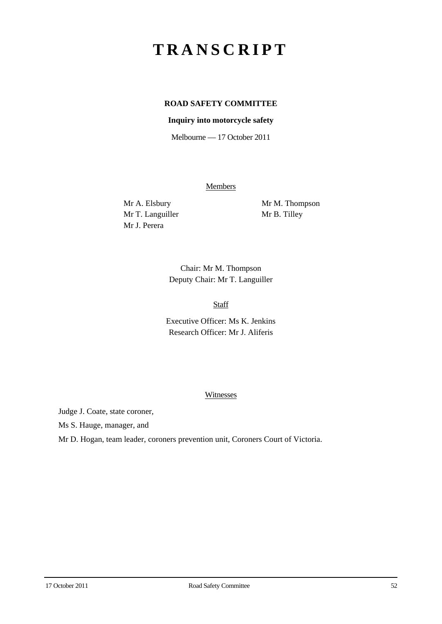# **TRANSCRIPT**

## **ROAD SAFETY COMMITTEE**

#### **Inquiry into motorcycle safety**

Melbourne — 17 October 2011

**Members** 

Mr T. Languiller Mr B. Tilley Mr J. Perera

Mr A. Elsbury Mr M. Thompson

Chair: Mr M. Thompson Deputy Chair: Mr T. Languiller

Staff

Executive Officer: Ms K. Jenkins Research Officer: Mr J. Aliferis

#### **Witnesses**

Judge J. Coate, state coroner,

Ms S. Hauge, manager, and

Mr D. Hogan, team leader, coroners prevention unit, Coroners Court of Victoria.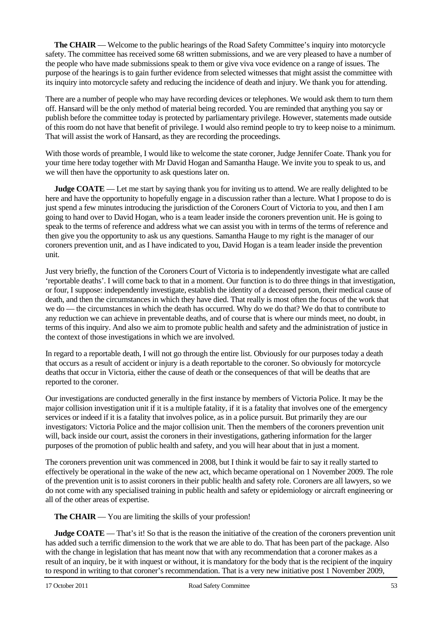**The CHAIR** — Welcome to the public hearings of the Road Safety Committee's inquiry into motorcycle safety. The committee has received some 68 written submissions, and we are very pleased to have a number of the people who have made submissions speak to them or give viva voce evidence on a range of issues. The purpose of the hearings is to gain further evidence from selected witnesses that might assist the committee with its inquiry into motorcycle safety and reducing the incidence of death and injury. We thank you for attending.

There are a number of people who may have recording devices or telephones. We would ask them to turn them off. Hansard will be the only method of material being recorded. You are reminded that anything you say or publish before the committee today is protected by parliamentary privilege. However, statements made outside of this room do not have that benefit of privilege. I would also remind people to try to keep noise to a minimum. That will assist the work of Hansard, as they are recording the proceedings.

With those words of preamble, I would like to welcome the state coroner, Judge Jennifer Coate. Thank you for your time here today together with Mr David Hogan and Samantha Hauge. We invite you to speak to us, and we will then have the opportunity to ask questions later on.

**Judge COATE** — Let me start by saying thank you for inviting us to attend. We are really delighted to be here and have the opportunity to hopefully engage in a discussion rather than a lecture. What I propose to do is just spend a few minutes introducing the jurisdiction of the Coroners Court of Victoria to you, and then I am going to hand over to David Hogan, who is a team leader inside the coroners prevention unit. He is going to speak to the terms of reference and address what we can assist you with in terms of the terms of reference and then give you the opportunity to ask us any questions. Samantha Hauge to my right is the manager of our coroners prevention unit, and as I have indicated to you, David Hogan is a team leader inside the prevention unit.

Just very briefly, the function of the Coroners Court of Victoria is to independently investigate what are called 'reportable deaths'. I will come back to that in a moment. Our function is to do three things in that investigation, or four, I suppose: independently investigate, establish the identity of a deceased person, their medical cause of death, and then the circumstances in which they have died. That really is most often the focus of the work that we do — the circumstances in which the death has occurred. Why do we do that? We do that to contribute to any reduction we can achieve in preventable deaths, and of course that is where our minds meet, no doubt, in terms of this inquiry. And also we aim to promote public health and safety and the administration of justice in the context of those investigations in which we are involved.

In regard to a reportable death, I will not go through the entire list. Obviously for our purposes today a death that occurs as a result of accident or injury is a death reportable to the coroner. So obviously for motorcycle deaths that occur in Victoria, either the cause of death or the consequences of that will be deaths that are reported to the coroner.

Our investigations are conducted generally in the first instance by members of Victoria Police. It may be the major collision investigation unit if it is a multiple fatality, if it is a fatality that involves one of the emergency services or indeed if it is a fatality that involves police, as in a police pursuit. But primarily they are our investigators: Victoria Police and the major collision unit. Then the members of the coroners prevention unit will, back inside our court, assist the coroners in their investigations, gathering information for the larger purposes of the promotion of public health and safety, and you will hear about that in just a moment.

The coroners prevention unit was commenced in 2008, but I think it would be fair to say it really started to effectively be operational in the wake of the new act, which became operational on 1 November 2009. The role of the prevention unit is to assist coroners in their public health and safety role. Coroners are all lawyers, so we do not come with any specialised training in public health and safety or epidemiology or aircraft engineering or all of the other areas of expertise.

**The CHAIR** — You are limiting the skills of your profession!

**Judge COATE** — That's it! So that is the reason the initiative of the creation of the coroners prevention unit has added such a terrific dimension to the work that we are able to do. That has been part of the package. Also with the change in legislation that has meant now that with any recommendation that a coroner makes as a result of an inquiry, be it with inquest or without, it is mandatory for the body that is the recipient of the inquiry to respond in writing to that coroner's recommendation. That is a very new initiative post 1 November 2009,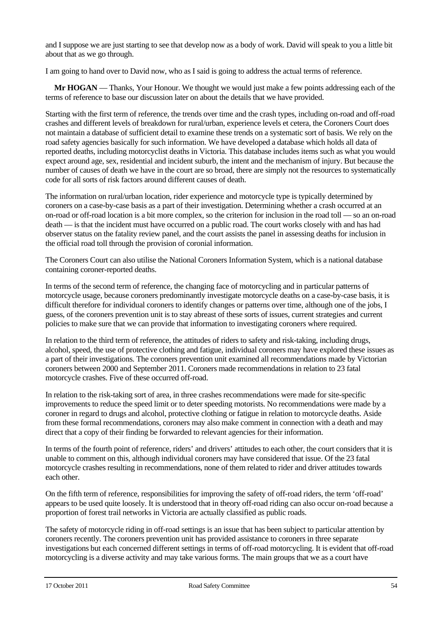and I suppose we are just starting to see that develop now as a body of work. David will speak to you a little bit about that as we go through.

I am going to hand over to David now, who as I said is going to address the actual terms of reference.

**Mr HOGAN** — Thanks, Your Honour. We thought we would just make a few points addressing each of the terms of reference to base our discussion later on about the details that we have provided.

Starting with the first term of reference, the trends over time and the crash types, including on-road and off-road crashes and different levels of breakdown for rural/urban, experience levels et cetera, the Coroners Court does not maintain a database of sufficient detail to examine these trends on a systematic sort of basis. We rely on the road safety agencies basically for such information. We have developed a database which holds all data of reported deaths, including motorcyclist deaths in Victoria. This database includes items such as what you would expect around age, sex, residential and incident suburb, the intent and the mechanism of injury. But because the number of causes of death we have in the court are so broad, there are simply not the resources to systematically code for all sorts of risk factors around different causes of death.

The information on rural/urban location, rider experience and motorcycle type is typically determined by coroners on a case-by-case basis as a part of their investigation. Determining whether a crash occurred at an on-road or off-road location is a bit more complex, so the criterion for inclusion in the road toll — so an on-road death — is that the incident must have occurred on a public road. The court works closely with and has had observer status on the fatality review panel, and the court assists the panel in assessing deaths for inclusion in the official road toll through the provision of coronial information.

The Coroners Court can also utilise the National Coroners Information System, which is a national database containing coroner-reported deaths.

In terms of the second term of reference, the changing face of motorcycling and in particular patterns of motorcycle usage, because coroners predominantly investigate motorcycle deaths on a case-by-case basis, it is difficult therefore for individual coroners to identify changes or patterns over time, although one of the jobs, I guess, of the coroners prevention unit is to stay abreast of these sorts of issues, current strategies and current policies to make sure that we can provide that information to investigating coroners where required.

In relation to the third term of reference, the attitudes of riders to safety and risk-taking, including drugs, alcohol, speed, the use of protective clothing and fatigue, individual coroners may have explored these issues as a part of their investigations. The coroners prevention unit examined all recommendations made by Victorian coroners between 2000 and September 2011. Coroners made recommendations in relation to 23 fatal motorcycle crashes. Five of these occurred off-road.

In relation to the risk-taking sort of area, in three crashes recommendations were made for site-specific improvements to reduce the speed limit or to deter speeding motorists. No recommendations were made by a coroner in regard to drugs and alcohol, protective clothing or fatigue in relation to motorcycle deaths. Aside from these formal recommendations, coroners may also make comment in connection with a death and may direct that a copy of their finding be forwarded to relevant agencies for their information.

In terms of the fourth point of reference, riders' and drivers' attitudes to each other, the court considers that it is unable to comment on this, although individual coroners may have considered that issue. Of the 23 fatal motorcycle crashes resulting in recommendations, none of them related to rider and driver attitudes towards each other.

On the fifth term of reference, responsibilities for improving the safety of off-road riders, the term 'off-road' appears to be used quite loosely. It is understood that in theory off-road riding can also occur on-road because a proportion of forest trail networks in Victoria are actually classified as public roads.

The safety of motorcycle riding in off-road settings is an issue that has been subject to particular attention by coroners recently. The coroners prevention unit has provided assistance to coroners in three separate investigations but each concerned different settings in terms of off-road motorcycling. It is evident that off-road motorcycling is a diverse activity and may take various forms. The main groups that we as a court have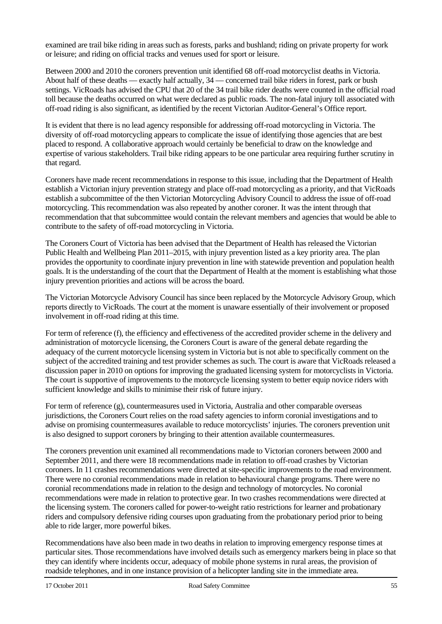examined are trail bike riding in areas such as forests, parks and bushland; riding on private property for work or leisure; and riding on official tracks and venues used for sport or leisure.

Between 2000 and 2010 the coroners prevention unit identified 68 off-road motorcyclist deaths in Victoria. About half of these deaths — exactly half actually, 34 — concerned trail bike riders in forest, park or bush settings. VicRoads has advised the CPU that 20 of the 34 trail bike rider deaths were counted in the official road toll because the deaths occurred on what were declared as public roads. The non-fatal injury toll associated with off-road riding is also significant, as identified by the recent Victorian Auditor-General's Office report.

It is evident that there is no lead agency responsible for addressing off-road motorcycling in Victoria. The diversity of off-road motorcycling appears to complicate the issue of identifying those agencies that are best placed to respond. A collaborative approach would certainly be beneficial to draw on the knowledge and expertise of various stakeholders. Trail bike riding appears to be one particular area requiring further scrutiny in that regard.

Coroners have made recent recommendations in response to this issue, including that the Department of Health establish a Victorian injury prevention strategy and place off-road motorcycling as a priority, and that VicRoads establish a subcommittee of the then Victorian Motorcycling Advisory Council to address the issue of off-road motorcycling. This recommendation was also repeated by another coroner. It was the intent through that recommendation that that subcommittee would contain the relevant members and agencies that would be able to contribute to the safety of off-road motorcycling in Victoria.

The Coroners Court of Victoria has been advised that the Department of Health has released the Victorian Public Health and Wellbeing Plan 2011–2015, with injury prevention listed as a key priority area. The plan provides the opportunity to coordinate injury prevention in line with statewide prevention and population health goals. It is the understanding of the court that the Department of Health at the moment is establishing what those injury prevention priorities and actions will be across the board.

The Victorian Motorcycle Advisory Council has since been replaced by the Motorcycle Advisory Group, which reports directly to VicRoads. The court at the moment is unaware essentially of their involvement or proposed involvement in off-road riding at this time.

For term of reference (f), the efficiency and effectiveness of the accredited provider scheme in the delivery and administration of motorcycle licensing, the Coroners Court is aware of the general debate regarding the adequacy of the current motorcycle licensing system in Victoria but is not able to specifically comment on the subject of the accredited training and test provider schemes as such. The court is aware that VicRoads released a discussion paper in 2010 on options for improving the graduated licensing system for motorcyclists in Victoria. The court is supportive of improvements to the motorcycle licensing system to better equip novice riders with sufficient knowledge and skills to minimise their risk of future injury.

For term of reference (g), countermeasures used in Victoria, Australia and other comparable overseas jurisdictions, the Coroners Court relies on the road safety agencies to inform coronial investigations and to advise on promising countermeasures available to reduce motorcyclists' injuries. The coroners prevention unit is also designed to support coroners by bringing to their attention available countermeasures.

The coroners prevention unit examined all recommendations made to Victorian coroners between 2000 and September 2011, and there were 18 recommendations made in relation to off-road crashes by Victorian coroners. In 11 crashes recommendations were directed at site-specific improvements to the road environment. There were no coronial recommendations made in relation to behavioural change programs. There were no coronial recommendations made in relation to the design and technology of motorcycles. No coronial recommendations were made in relation to protective gear. In two crashes recommendations were directed at the licensing system. The coroners called for power-to-weight ratio restrictions for learner and probationary riders and compulsory defensive riding courses upon graduating from the probationary period prior to being able to ride larger, more powerful bikes.

Recommendations have also been made in two deaths in relation to improving emergency response times at particular sites. Those recommendations have involved details such as emergency markers being in place so that they can identify where incidents occur, adequacy of mobile phone systems in rural areas, the provision of roadside telephones, and in one instance provision of a helicopter landing site in the immediate area.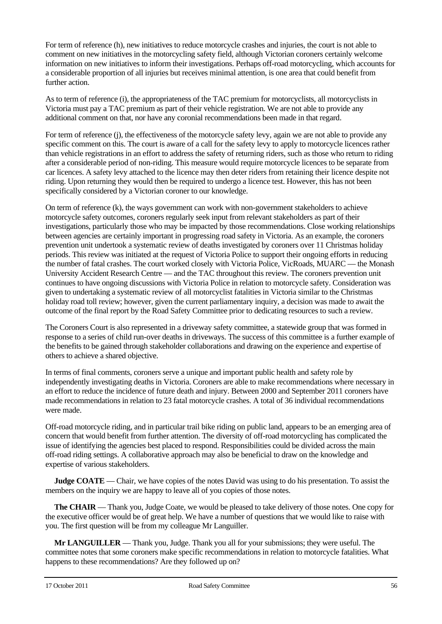For term of reference (h), new initiatives to reduce motorcycle crashes and injuries, the court is not able to comment on new initiatives in the motorcycling safety field, although Victorian coroners certainly welcome information on new initiatives to inform their investigations. Perhaps off-road motorcycling, which accounts for a considerable proportion of all injuries but receives minimal attention, is one area that could benefit from further action.

As to term of reference (i), the appropriateness of the TAC premium for motorcyclists, all motorcyclists in Victoria must pay a TAC premium as part of their vehicle registration. We are not able to provide any additional comment on that, nor have any coronial recommendations been made in that regard.

For term of reference (j), the effectiveness of the motorcycle safety levy, again we are not able to provide any specific comment on this. The court is aware of a call for the safety levy to apply to motorcycle licences rather than vehicle registrations in an effort to address the safety of returning riders, such as those who return to riding after a considerable period of non-riding. This measure would require motorcycle licences to be separate from car licences. A safety levy attached to the licence may then deter riders from retaining their licence despite not riding. Upon returning they would then be required to undergo a licence test. However, this has not been specifically considered by a Victorian coroner to our knowledge.

On term of reference (k), the ways government can work with non-government stakeholders to achieve motorcycle safety outcomes, coroners regularly seek input from relevant stakeholders as part of their investigations, particularly those who may be impacted by those recommendations. Close working relationships between agencies are certainly important in progressing road safety in Victoria. As an example, the coroners prevention unit undertook a systematic review of deaths investigated by coroners over 11 Christmas holiday periods. This review was initiated at the request of Victoria Police to support their ongoing efforts in reducing the number of fatal crashes. The court worked closely with Victoria Police, VicRoads, MUARC — the Monash University Accident Research Centre — and the TAC throughout this review. The coroners prevention unit continues to have ongoing discussions with Victoria Police in relation to motorcycle safety. Consideration was given to undertaking a systematic review of all motorcyclist fatalities in Victoria similar to the Christmas holiday road toll review; however, given the current parliamentary inquiry, a decision was made to await the outcome of the final report by the Road Safety Committee prior to dedicating resources to such a review.

The Coroners Court is also represented in a driveway safety committee, a statewide group that was formed in response to a series of child run-over deaths in driveways. The success of this committee is a further example of the benefits to be gained through stakeholder collaborations and drawing on the experience and expertise of others to achieve a shared objective.

In terms of final comments, coroners serve a unique and important public health and safety role by independently investigating deaths in Victoria. Coroners are able to make recommendations where necessary in an effort to reduce the incidence of future death and injury. Between 2000 and September 2011 coroners have made recommendations in relation to 23 fatal motorcycle crashes. A total of 36 individual recommendations were made.

Off-road motorcycle riding, and in particular trail bike riding on public land, appears to be an emerging area of concern that would benefit from further attention. The diversity of off-road motorcycling has complicated the issue of identifying the agencies best placed to respond. Responsibilities could be divided across the main off-road riding settings. A collaborative approach may also be beneficial to draw on the knowledge and expertise of various stakeholders.

**Judge COATE** — Chair, we have copies of the notes David was using to do his presentation. To assist the members on the inquiry we are happy to leave all of you copies of those notes.

**The CHAIR** — Thank you, Judge Coate, we would be pleased to take delivery of those notes. One copy for the executive officer would be of great help. We have a number of questions that we would like to raise with you. The first question will be from my colleague Mr Languiller.

**Mr LANGUILLER** — Thank you, Judge. Thank you all for your submissions; they were useful. The committee notes that some coroners make specific recommendations in relation to motorcycle fatalities. What happens to these recommendations? Are they followed up on?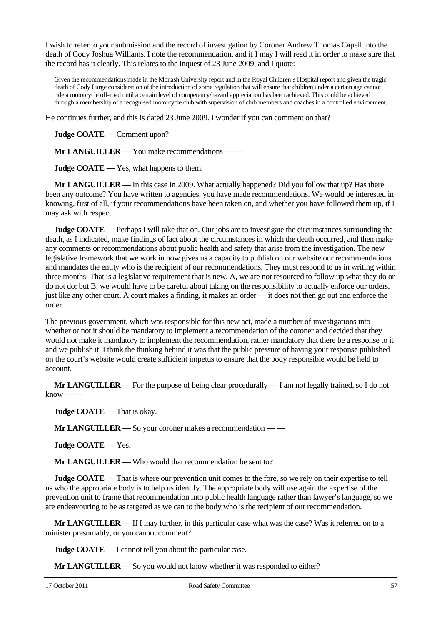I wish to refer to your submission and the record of investigation by Coroner Andrew Thomas Capell into the death of Cody Joshua Williams. I note the recommendation, and if I may I will read it in order to make sure that the record has it clearly. This relates to the inquest of 23 June 2009, and I quote:

Given the recommendations made in the Monash University report and in the Royal Children's Hospital report and given the tragic death of Cody I urge consideration of the introduction of some regulation that will ensure that children under a certain age cannot ride a motorcycle off-road until a certain level of competency/hazard appreciation has been achieved. This could be achieved through a membership of a recognised motorcycle club with supervision of club members and coaches in a controlled environment.

He continues further, and this is dated 23 June 2009. I wonder if you can comment on that?

**Judge COATE** — Comment upon?

**Mr LANGUILLER** — You make recommendations — —

**Judge COATE** — Yes, what happens to them.

**Mr LANGUILLER** — In this case in 2009. What actually happened? Did you follow that up? Has there been any outcome? You have written to agencies, you have made recommendations. We would be interested in knowing, first of all, if your recommendations have been taken on, and whether you have followed them up, if I may ask with respect.

**Judge COATE** — Perhaps I will take that on. Our jobs are to investigate the circumstances surrounding the death, as I indicated, make findings of fact about the circumstances in which the death occurred, and then make any comments or recommendations about public health and safety that arise from the investigation. The new legislative framework that we work in now gives us a capacity to publish on our website our recommendations and mandates the entity who is the recipient of our recommendations. They must respond to us in writing within three months. That is a legislative requirement that is new. A, we are not resourced to follow up what they do or do not do; but B, we would have to be careful about taking on the responsibility to actually enforce our orders, just like any other court. A court makes a finding, it makes an order — it does not then go out and enforce the order.

The previous government, which was responsible for this new act, made a number of investigations into whether or not it should be mandatory to implement a recommendation of the coroner and decided that they would not make it mandatory to implement the recommendation, rather mandatory that there be a response to it and we publish it. I think the thinking behind it was that the public pressure of having your response published on the court's website would create sufficient impetus to ensure that the body responsible would be held to account.

**Mr LANGUILLER** — For the purpose of being clear procedurally — I am not legally trained, so I do not  $k$ now — —

**Judge COATE** — That is okay.

**Mr LANGUILLER** — So your coroner makes a recommendation — —

**Judge COATE** — Yes.

**Mr LANGUILLER** — Who would that recommendation be sent to?

**Judge COATE** — That is where our prevention unit comes to the fore, so we rely on their expertise to tell us who the appropriate body is to help us identify. The appropriate body will use again the expertise of the prevention unit to frame that recommendation into public health language rather than lawyer's language, so we are endeavouring to be as targeted as we can to the body who is the recipient of our recommendation.

**Mr LANGUILLER** — If I may further, in this particular case what was the case? Was it referred on to a minister presumably, or you cannot comment?

**Judge COATE** — I cannot tell you about the particular case.

**Mr LANGUILLER** — So you would not know whether it was responded to either?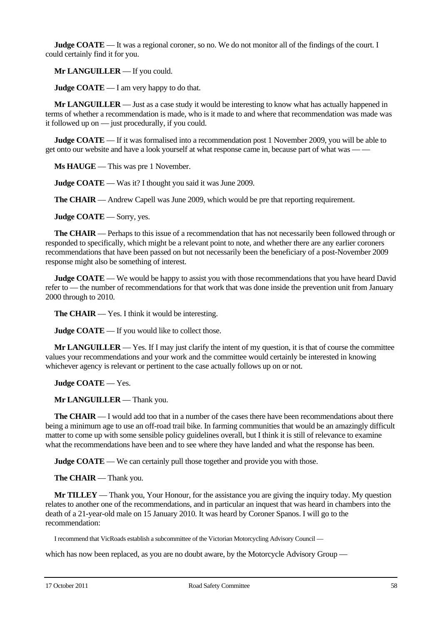**Judge COATE** — It was a regional coroner, so no. We do not monitor all of the findings of the court. I could certainly find it for you.

**Mr LANGUILLER** — If you could.

**Judge COATE** — I am very happy to do that.

**Mr LANGUILLER** — Just as a case study it would be interesting to know what has actually happened in terms of whether a recommendation is made, who is it made to and where that recommendation was made was it followed up on — just procedurally, if you could.

**Judge COATE** — If it was formalised into a recommendation post 1 November 2009, you will be able to get onto our website and have a look yourself at what response came in, because part of what was — —

**Ms HAUGE** — This was pre 1 November.

**Judge COATE** — Was it? I thought you said it was June 2009.

**The CHAIR** — Andrew Capell was June 2009, which would be pre that reporting requirement.

**Judge COATE** — Sorry, yes.

**The CHAIR** — Perhaps to this issue of a recommendation that has not necessarily been followed through or responded to specifically, which might be a relevant point to note, and whether there are any earlier coroners recommendations that have been passed on but not necessarily been the beneficiary of a post-November 2009 response might also be something of interest.

**Judge COATE** — We would be happy to assist you with those recommendations that you have heard David refer to — the number of recommendations for that work that was done inside the prevention unit from January 2000 through to 2010.

**The CHAIR** — Yes. I think it would be interesting.

**Judge COATE** — If you would like to collect those.

**Mr LANGUILLER** — Yes. If I may just clarify the intent of my question, it is that of course the committee values your recommendations and your work and the committee would certainly be interested in knowing whichever agency is relevant or pertinent to the case actually follows up on or not.

**Judge COATE** — Yes.

**Mr LANGUILLER** — Thank you.

**The CHAIR** — I would add too that in a number of the cases there have been recommendations about there being a minimum age to use an off-road trail bike. In farming communities that would be an amazingly difficult matter to come up with some sensible policy guidelines overall, but I think it is still of relevance to examine what the recommendations have been and to see where they have landed and what the response has been.

**Judge COATE** — We can certainly pull those together and provide you with those.

**The CHAIR** — Thank you.

**Mr TILLEY** — Thank you, Your Honour, for the assistance you are giving the inquiry today. My question relates to another one of the recommendations, and in particular an inquest that was heard in chambers into the death of a 21-year-old male on 15 January 2010. It was heard by Coroner Spanos. I will go to the recommendation:

I recommend that VicRoads establish a subcommittee of the Victorian Motorcycling Advisory Council —

which has now been replaced, as you are no doubt aware, by the Motorcycle Advisory Group —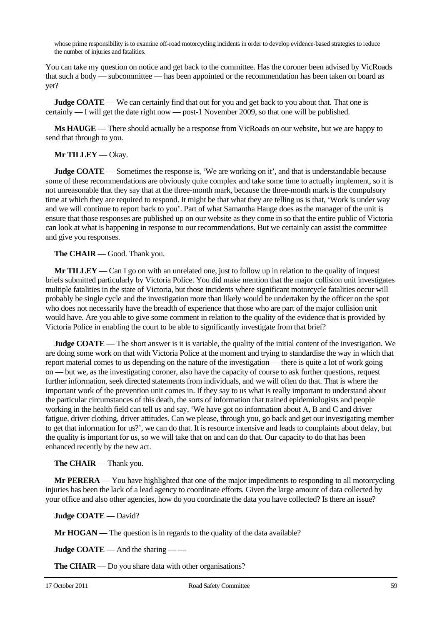whose prime responsibility is to examine off-road motorcycling incidents in order to develop evidence-based strategies to reduce the number of injuries and fatalities.

You can take my question on notice and get back to the committee. Has the coroner been advised by VicRoads that such a body — subcommittee — has been appointed or the recommendation has been taken on board as yet?

**Judge COATE** — We can certainly find that out for you and get back to you about that. That one is certainly — I will get the date right now — post-1 November 2009, so that one will be published.

**Ms HAUGE** — There should actually be a response from VicRoads on our website, but we are happy to send that through to you.

#### **Mr TILLEY** — Okay.

**Judge COATE** — Sometimes the response is, 'We are working on it', and that is understandable because some of these recommendations are obviously quite complex and take some time to actually implement, so it is not unreasonable that they say that at the three-month mark, because the three-month mark is the compulsory time at which they are required to respond. It might be that what they are telling us is that, 'Work is under way and we will continue to report back to you'. Part of what Samantha Hauge does as the manager of the unit is ensure that those responses are published up on our website as they come in so that the entire public of Victoria can look at what is happening in response to our recommendations. But we certainly can assist the committee and give you responses.

#### **The CHAIR** — Good. Thank you.

**Mr TILLEY** — Can I go on with an unrelated one, just to follow up in relation to the quality of inquest briefs submitted particularly by Victoria Police. You did make mention that the major collision unit investigates multiple fatalities in the state of Victoria, but those incidents where significant motorcycle fatalities occur will probably be single cycle and the investigation more than likely would be undertaken by the officer on the spot who does not necessarily have the breadth of experience that those who are part of the major collision unit would have. Are you able to give some comment in relation to the quality of the evidence that is provided by Victoria Police in enabling the court to be able to significantly investigate from that brief?

**Judge COATE** — The short answer is it is variable, the quality of the initial content of the investigation. We are doing some work on that with Victoria Police at the moment and trying to standardise the way in which that report material comes to us depending on the nature of the investigation — there is quite a lot of work going on — but we, as the investigating coroner, also have the capacity of course to ask further questions, request further information, seek directed statements from individuals, and we will often do that. That is where the important work of the prevention unit comes in. If they say to us what is really important to understand about the particular circumstances of this death, the sorts of information that trained epidemiologists and people working in the health field can tell us and say, 'We have got no information about A, B and C and driver fatigue, driver clothing, driver attitudes. Can we please, through you, go back and get our investigating member to get that information for us?', we can do that. It is resource intensive and leads to complaints about delay, but the quality is important for us, so we will take that on and can do that. Our capacity to do that has been enhanced recently by the new act.

### **The CHAIR** — Thank you.

**Mr PERERA** — You have highlighted that one of the major impediments to responding to all motorcycling injuries has been the lack of a lead agency to coordinate efforts. Given the large amount of data collected by your office and also other agencies, how do you coordinate the data you have collected? Is there an issue?

**Judge COATE** — David?

**Mr HOGAN** — The question is in regards to the quality of the data available?

**Judge COATE** — And the sharing — —

**The CHAIR** — Do you share data with other organisations?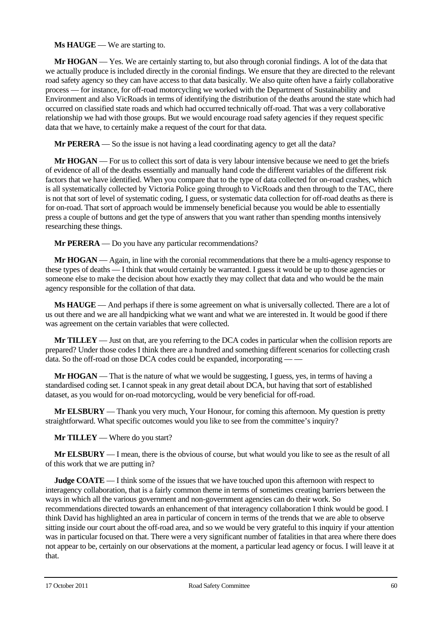#### **Ms HAUGE** — We are starting to.

**Mr HOGAN** — Yes. We are certainly starting to, but also through coronial findings. A lot of the data that we actually produce is included directly in the coronial findings. We ensure that they are directed to the relevant road safety agency so they can have access to that data basically. We also quite often have a fairly collaborative process — for instance, for off-road motorcycling we worked with the Department of Sustainability and Environment and also VicRoads in terms of identifying the distribution of the deaths around the state which had occurred on classified state roads and which had occurred technically off-road. That was a very collaborative relationship we had with those groups. But we would encourage road safety agencies if they request specific data that we have, to certainly make a request of the court for that data.

**Mr PERERA** — So the issue is not having a lead coordinating agency to get all the data?

**Mr HOGAN** — For us to collect this sort of data is very labour intensive because we need to get the briefs of evidence of all of the deaths essentially and manually hand code the different variables of the different risk factors that we have identified. When you compare that to the type of data collected for on-road crashes, which is all systematically collected by Victoria Police going through to VicRoads and then through to the TAC, there is not that sort of level of systematic coding, I guess, or systematic data collection for off-road deaths as there is for on-road. That sort of approach would be immensely beneficial because you would be able to essentially press a couple of buttons and get the type of answers that you want rather than spending months intensively researching these things.

**Mr PERERA** — Do you have any particular recommendations?

**Mr HOGAN** — Again, in line with the coronial recommendations that there be a multi-agency response to these types of deaths — I think that would certainly be warranted. I guess it would be up to those agencies or someone else to make the decision about how exactly they may collect that data and who would be the main agency responsible for the collation of that data.

**Ms HAUGE** — And perhaps if there is some agreement on what is universally collected. There are a lot of us out there and we are all handpicking what we want and what we are interested in. It would be good if there was agreement on the certain variables that were collected.

**Mr TILLEY** — Just on that, are you referring to the DCA codes in particular when the collision reports are prepared? Under those codes I think there are a hundred and something different scenarios for collecting crash data. So the off-road on those DCA codes could be expanded, incorporating — —

**Mr HOGAN** — That is the nature of what we would be suggesting, I guess, yes, in terms of having a standardised coding set. I cannot speak in any great detail about DCA, but having that sort of established dataset, as you would for on-road motorcycling, would be very beneficial for off-road.

**Mr ELSBURY** — Thank you very much, Your Honour, for coming this afternoon. My question is pretty straightforward. What specific outcomes would you like to see from the committee's inquiry?

**Mr TILLEY** — Where do you start?

**Mr ELSBURY** — I mean, there is the obvious of course, but what would you like to see as the result of all of this work that we are putting in?

**Judge COATE** — I think some of the issues that we have touched upon this afternoon with respect to interagency collaboration, that is a fairly common theme in terms of sometimes creating barriers between the ways in which all the various government and non-government agencies can do their work. So recommendations directed towards an enhancement of that interagency collaboration I think would be good. I think David has highlighted an area in particular of concern in terms of the trends that we are able to observe sitting inside our court about the off-road area, and so we would be very grateful to this inquiry if your attention was in particular focused on that. There were a very significant number of fatalities in that area where there does not appear to be, certainly on our observations at the moment, a particular lead agency or focus. I will leave it at that.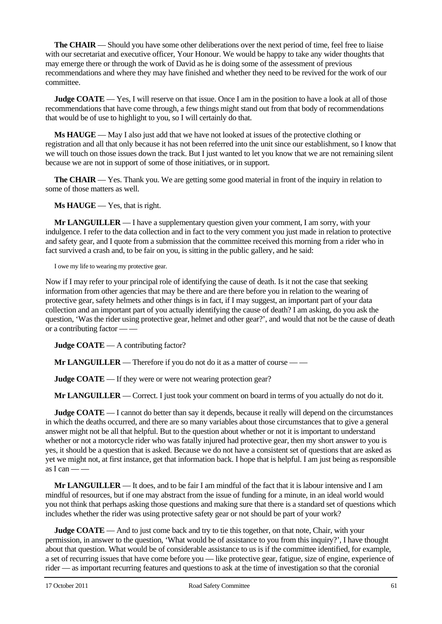**The CHAIR** — Should you have some other deliberations over the next period of time, feel free to liaise with our secretariat and executive officer, Your Honour. We would be happy to take any wider thoughts that may emerge there or through the work of David as he is doing some of the assessment of previous recommendations and where they may have finished and whether they need to be revived for the work of our committee.

**Judge COATE** — Yes, I will reserve on that issue. Once I am in the position to have a look at all of those recommendations that have come through, a few things might stand out from that body of recommendations that would be of use to highlight to you, so I will certainly do that.

**Ms HAUGE** — May I also just add that we have not looked at issues of the protective clothing or registration and all that only because it has not been referred into the unit since our establishment, so I know that we will touch on those issues down the track. But I just wanted to let you know that we are not remaining silent because we are not in support of some of those initiatives, or in support.

**The CHAIR** — Yes. Thank you. We are getting some good material in front of the inquiry in relation to some of those matters as well.

**Ms HAUGE** — Yes, that is right.

**Mr LANGUILLER** — I have a supplementary question given your comment, I am sorry, with your indulgence. I refer to the data collection and in fact to the very comment you just made in relation to protective and safety gear, and I quote from a submission that the committee received this morning from a rider who in fact survived a crash and, to be fair on you, is sitting in the public gallery, and he said:

I owe my life to wearing my protective gear.

Now if I may refer to your principal role of identifying the cause of death. Is it not the case that seeking information from other agencies that may be there and are there before you in relation to the wearing of protective gear, safety helmets and other things is in fact, if I may suggest, an important part of your data collection and an important part of you actually identifying the cause of death? I am asking, do you ask the question, 'Was the rider using protective gear, helmet and other gear?', and would that not be the cause of death or a contributing factor — —

**Judge COATE** — A contributing factor?

**Mr LANGUILLER** — Therefore if you do not do it as a matter of course — —

**Judge COATE** — If they were or were not wearing protection gear?

**Mr LANGUILLER** — Correct. I just took your comment on board in terms of you actually do not do it.

**Judge COATE** — I cannot do better than say it depends, because it really will depend on the circumstances in which the deaths occurred, and there are so many variables about those circumstances that to give a general answer might not be all that helpful. But to the question about whether or not it is important to understand whether or not a motorcycle rider who was fatally injured had protective gear, then my short answer to you is yes, it should be a question that is asked. Because we do not have a consistent set of questions that are asked as yet we might not, at first instance, get that information back. I hope that is helpful. I am just being as responsible  $\overline{a}$ s I can —

**Mr LANGUILLER** — It does, and to be fair I am mindful of the fact that it is labour intensive and I am mindful of resources, but if one may abstract from the issue of funding for a minute, in an ideal world would you not think that perhaps asking those questions and making sure that there is a standard set of questions which includes whether the rider was using protective safety gear or not should be part of your work?

**Judge COATE** — And to just come back and try to tie this together, on that note, Chair, with your permission, in answer to the question, 'What would be of assistance to you from this inquiry?', I have thought about that question. What would be of considerable assistance to us is if the committee identified, for example, a set of recurring issues that have come before you — like protective gear, fatigue, size of engine, experience of rider — as important recurring features and questions to ask at the time of investigation so that the coronial